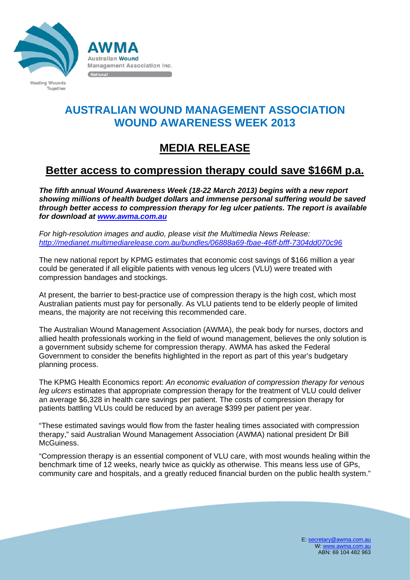

**Australian Wound** 

National

**Management Association Inc.** 

**Healing Wounds** Together

## **AUSTRALIAN WOUND MANAGEMENT ASSOCIATION WOUND AWARENESS WEEK 2013**

## **MEDIA RELEASE**

## **Better access to compression therapy could save \$166M p.a.**

*The fifth annual Wound Awareness Week (18-22 March 2013) begins with a new report showing millions of health budget dollars and immense personal suffering would be saved through better access to compression therapy for leg ulcer patients. The report is available for download at [www.awma.com.au](http://www.awma.com.au/)*

*For high-resolution images and audio, please visit the Multimedia News Release: <http://medianet.multimediarelease.com.au/bundles/06888a69-fbae-46ff-bfff-7304dd070c96>*

The new national report by KPMG estimates that economic cost savings of \$166 million a year could be generated if all eligible patients with venous leg ulcers (VLU) were treated with compression bandages and stockings.

At present, the barrier to best-practice use of compression therapy is the high cost, which most Australian patients must pay for personally. As VLU patients tend to be elderly people of limited means, the majority are not receiving this recommended care.

The Australian Wound Management Association (AWMA), the peak body for nurses, doctors and allied health professionals working in the field of wound management, believes the only solution is a government subsidy scheme for compression therapy. AWMA has asked the Federal Government to consider the benefits highlighted in the report as part of this year's budgetary planning process.

The KPMG Health Economics report: *An economic evaluation of compression therapy for venous leg ulcers* estimates that appropriate compression therapy for the treatment of VLU could deliver an average \$6,328 in health care savings per patient. The costs of compression therapy for patients battling VLUs could be reduced by an average \$399 per patient per year.

"These estimated savings would flow from the faster healing times associated with compression therapy," said Australian Wound Management Association (AWMA) national president Dr Bill McGuiness.

"Compression therapy is an essential component of VLU care, with most wounds healing within the benchmark time of 12 weeks, nearly twice as quickly as otherwise. This means less use of GPs, community care and hospitals, and a greatly reduced financial burden on the public health system."